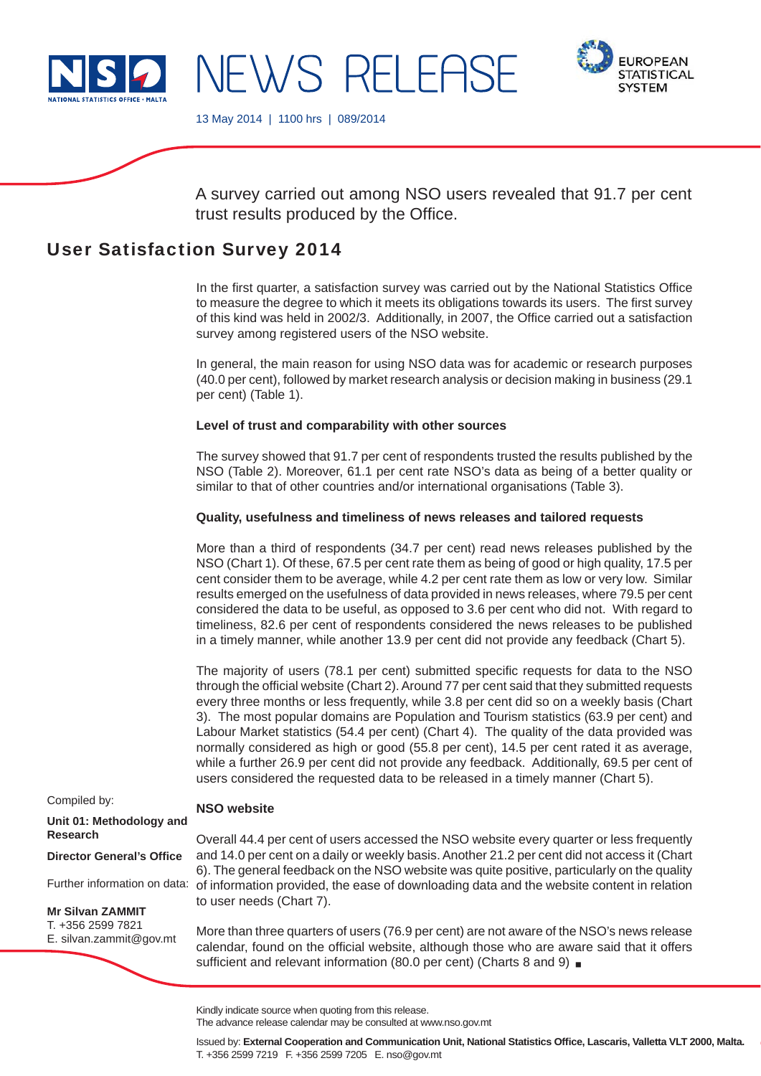

**IROPFAN SYSTEM** 

13 May 2014 | 1100 hrs | 089/2014

A survey carried out among NSO users revealed that 91.7 per cent trust results produced by the Office.

# User Satisfaction Survey 2014

In the first quarter, a satisfaction survey was carried out by the National Statistics Office to measure the degree to which it meets its obligations towards its users. The first survey of this kind was held in 2002/3. Additionally, in 2007, the Office carried out a satisfaction survey among registered users of the NSO website.

In general, the main reason for using NSO data was for academic or research purposes (40.0 per cent), followed by market research analysis or decision making in business (29.1 per cent) (Table 1).

### **Level of trust and comparability with other sources**

The survey showed that 91.7 per cent of respondents trusted the results published by the NSO (Table 2). Moreover, 61.1 per cent rate NSO's data as being of a better quality or similar to that of other countries and/or international organisations (Table 3).

#### **Quality, usefulness and timeliness of news releases and tailored requests**

More than a third of respondents (34.7 per cent) read news releases published by the NSO (Chart 1). Of these, 67.5 per cent rate them as being of good or high quality, 17.5 per cent consider them to be average, while 4.2 per cent rate them as low or very low. Similar results emerged on the usefulness of data provided in news releases, where 79.5 per cent considered the data to be useful, as opposed to 3.6 per cent who did not. With regard to timeliness, 82.6 per cent of respondents considered the news releases to be published in a timely manner, while another 13.9 per cent did not provide any feedback (Chart 5).

The majority of users (78.1 per cent) submitted specific requests for data to the NSO through the official website (Chart 2). Around 77 per cent said that they submitted requests every three months or less frequently, while 3.8 per cent did so on a weekly basis (Chart 3). The most popular domains are Population and Tourism statistics (63.9 per cent) and Labour Market statistics (54.4 per cent) (Chart 4). The quality of the data provided was normally considered as high or good (55.8 per cent), 14.5 per cent rated it as average, while a further 26.9 per cent did not provide any feedback. Additionally, 69.5 per cent of users considered the requested data to be released in a timely manner (Chart 5).

#### Compiled by:

## **NSO website**

Overall 44.4 per cent of users accessed the NSO website every quarter or less frequently and 14.0 per cent on a daily or weekly basis. Another 21.2 per cent did not access it (Chart 6). The general feedback on the NSO website was quite positive, particularly on the quality of information provided, the ease of downloading data and the website content in relation to user needs (Chart 7).

More than three quarters of users (76.9 per cent) are not aware of the NSO's news release calendar, found on the official website, although those who are aware said that it offers sufficient and relevant information (80.0 per cent) (Charts 8 and 9)  $\blacksquare$ 

**Unit 01: Methodology and Research**

**Director General's Office** 

Further information on data:

**Mr Silvan ZAMMIT** T. +356 2599 7821

E. silvan.zammit@gov.mt

Kindly indicate source when quoting from this release.

The advance release calendar may be consulted at www.nso.gov.mt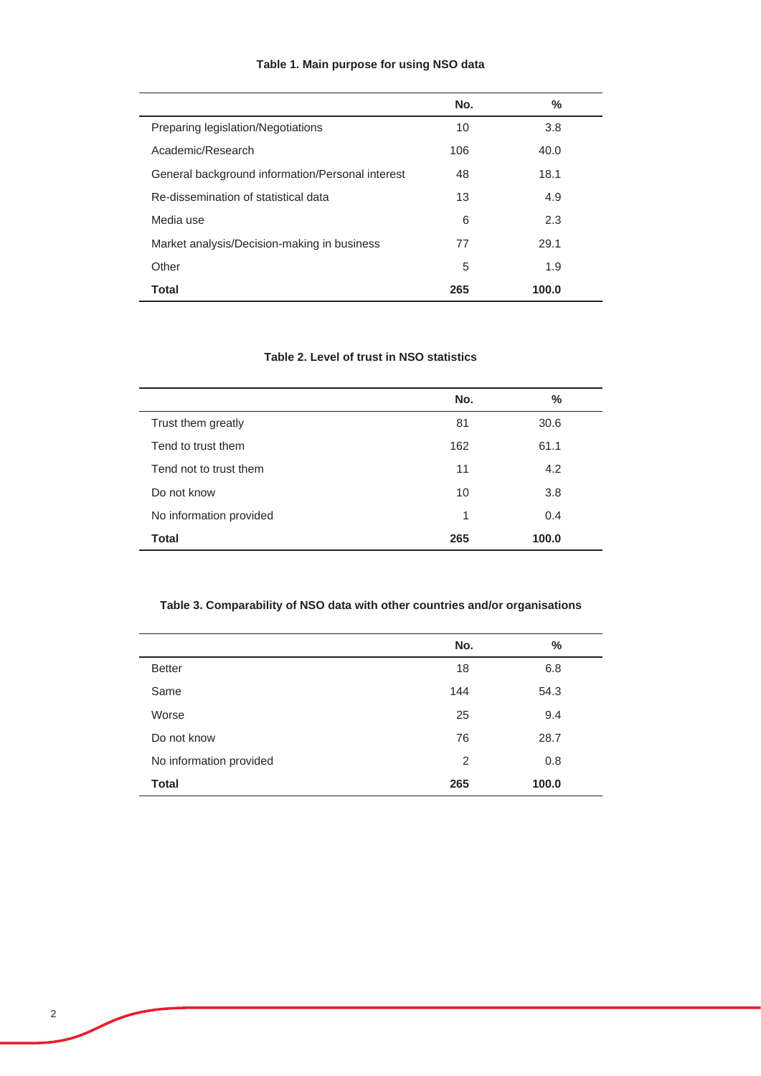| Table 1. Main purpose for using NSO data |  |  |  |  |
|------------------------------------------|--|--|--|--|
|------------------------------------------|--|--|--|--|

|                                                  | No. | ℅     |  |
|--------------------------------------------------|-----|-------|--|
| Preparing legislation/Negotiations               | 10  | 3.8   |  |
| Academic/Research                                | 106 | 40.0  |  |
| General background information/Personal interest | 48  | 18.1  |  |
| Re-dissemination of statistical data             | 13  | 4.9   |  |
| Media use                                        | 6   | 2.3   |  |
| Market analysis/Decision-making in business      | 77  | 29.1  |  |
| Other                                            | 5   | 1.9   |  |
| Total                                            | 265 | 100.0 |  |

# **Table 2. Level of trust in NSO statistics**

|                         | No. | ℅     |
|-------------------------|-----|-------|
| Trust them greatly      | 81  | 30.6  |
| Tend to trust them      | 162 | 61.1  |
| Tend not to trust them  | 11  | 4.2   |
| Do not know             | 10  | 3.8   |
| No information provided | 1   | 0.4   |
| <b>Total</b>            | 265 | 100.0 |
|                         |     |       |

# **Table 3. Comparability of NSO data with other countries and/or organisations**

|                         | No. | $\%$  |
|-------------------------|-----|-------|
|                         |     |       |
| <b>Better</b>           | 18  | 6.8   |
| Same                    | 144 | 54.3  |
| Worse                   | 25  | 9.4   |
| Do not know             | 76  | 28.7  |
| No information provided | 2   | 0.8   |
| <b>Total</b>            | 265 | 100.0 |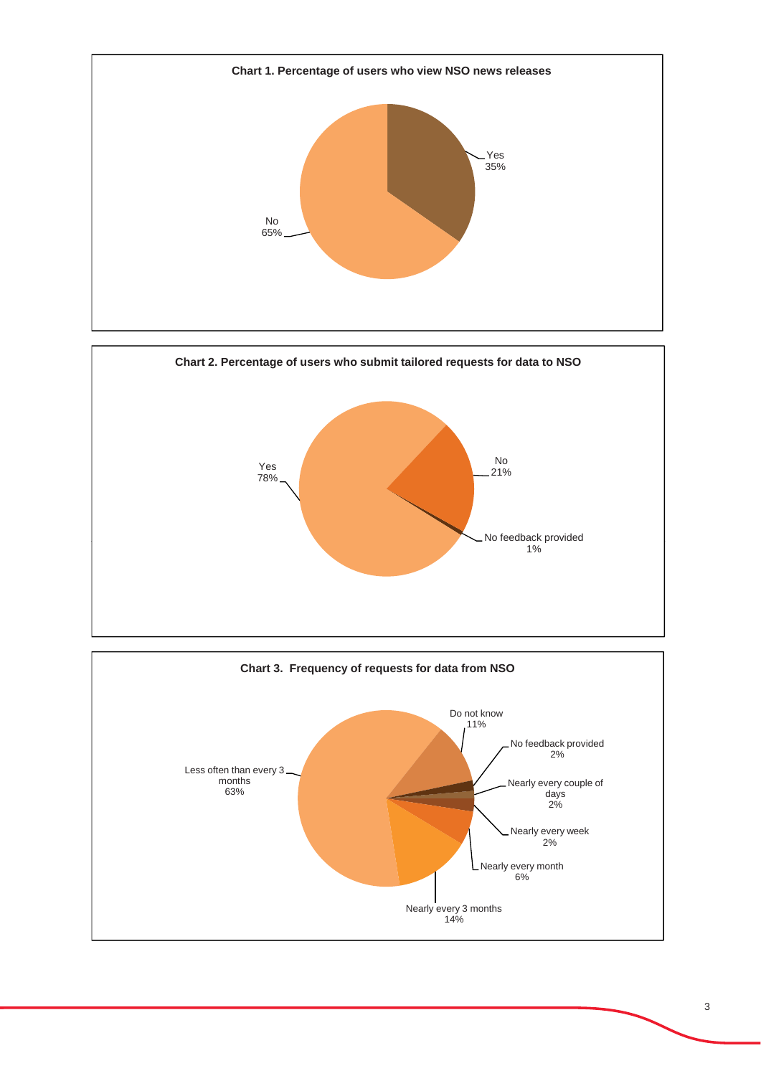



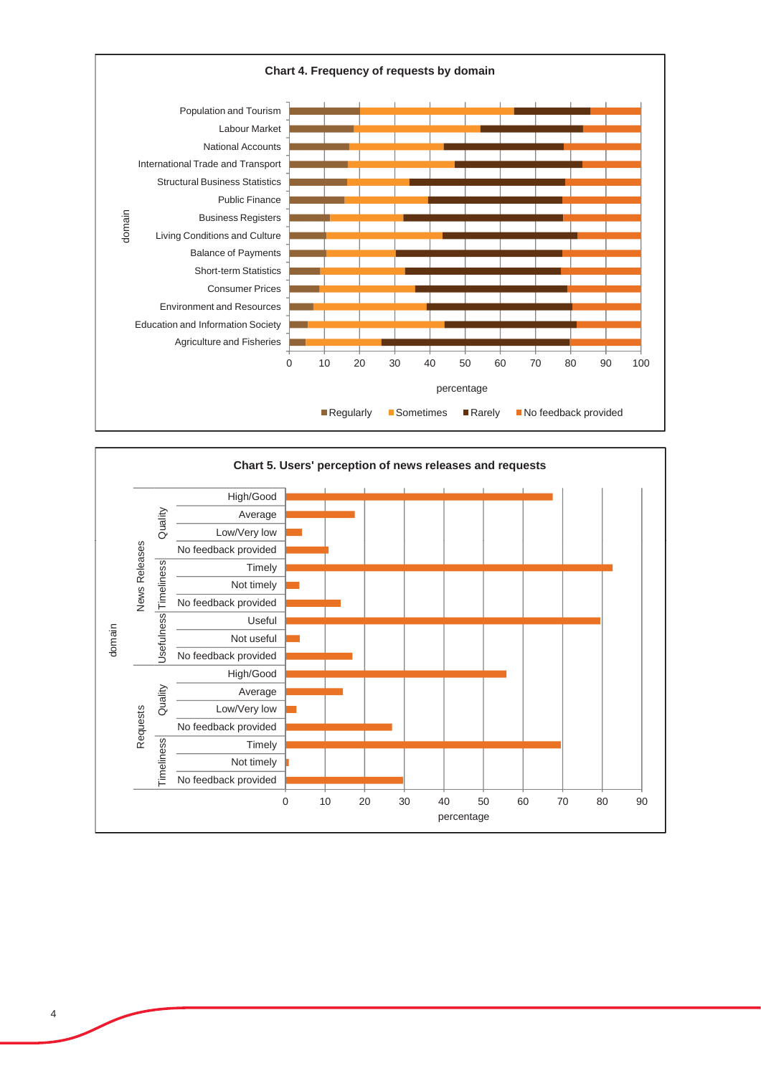

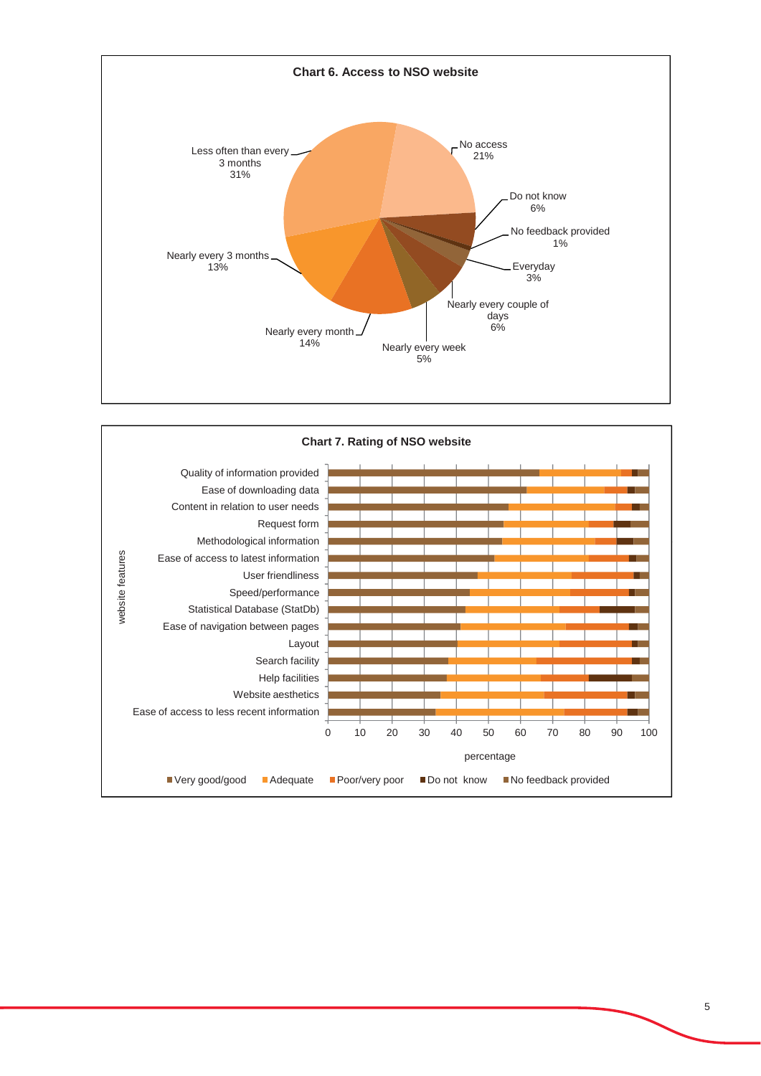

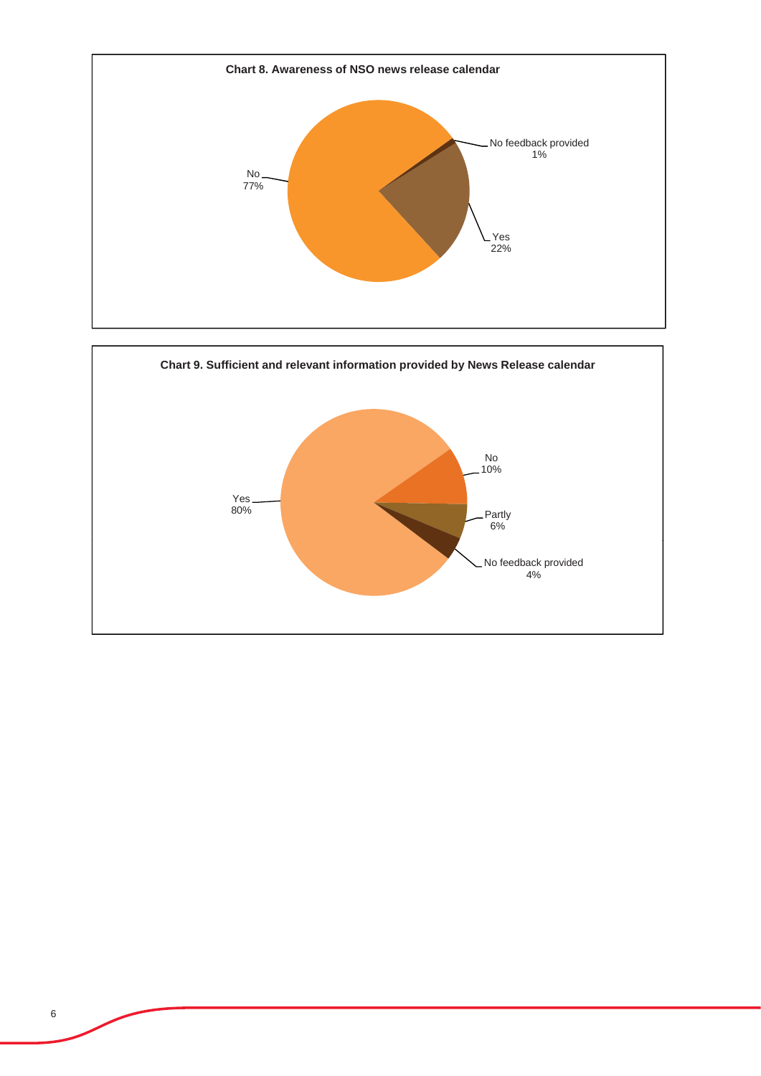